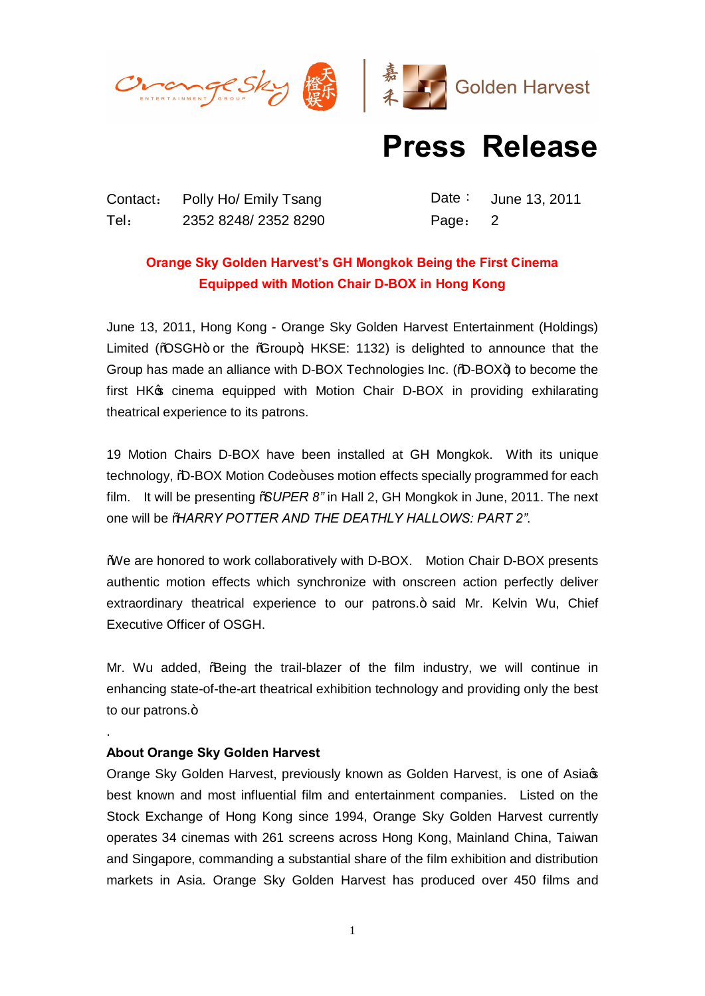



## **Press Release**

Contact: Polly Ho/ Emily Tsang Date: June 13, 2011 Tel: 2352 8248/ 2352 8290 Page: 2

## **Orange Sky Golden Harvest's GH Mongkok Being the First Cinema Equipped with Motion Chair D-BOX in Hong Kong**

June 13, 2011, Hong Kong - Orange Sky Golden Harvest Entertainment (Holdings) Limited (% $\triangle$ SGH+ or the % $\angle$ Froup+; HKSE: 1132) is delighted to announce that the Group has made an alliance with D-BOX Technologies Inc. (%D-BOX+) to become the first HK<sub>®</sub> cinema equipped with Motion Chair D-BOX in providing exhilarating theatrical experience to its patrons.

19 Motion Chairs D-BOX have been installed at GH Mongkok. With its unique technology, %D-BOX Motion Code+uses motion effects specially programmed for each film. It will be presenting "*SUPER 8"* in Hall 2, GH Mongkok in June, 2011. The next one will be "*HARRY POTTER AND THE DEATHLY HALLOWS: PART 2"*.

"We are honored to work collaboratively with D-BOX. Motion Chair D-BOX presents authentic motion effects which synchronize with onscreen action perfectly deliver extraordinary theatrical experience to our patrons.+ said Mr. Kelvin Wu, Chief Executive Officer of OSGH.

Mr. Wu added, % Being the trail-blazer of the film industry, we will continue in enhancing state-of-the-art theatrical exhibition technology and providing only the best to our patrons. $+$ 

## **About Orange Sky Golden Harvest**

.

Orange Sky Golden Harvest, previously known as Golden Harvest, is one of Asia's best known and most influential film and entertainment companies. Listed on the Stock Exchange of Hong Kong since 1994, Orange Sky Golden Harvest currently operates 34 cinemas with 261 screens across Hong Kong, Mainland China, Taiwan and Singapore, commanding a substantial share of the film exhibition and distribution markets in Asia. Orange Sky Golden Harvest has produced over 450 films and